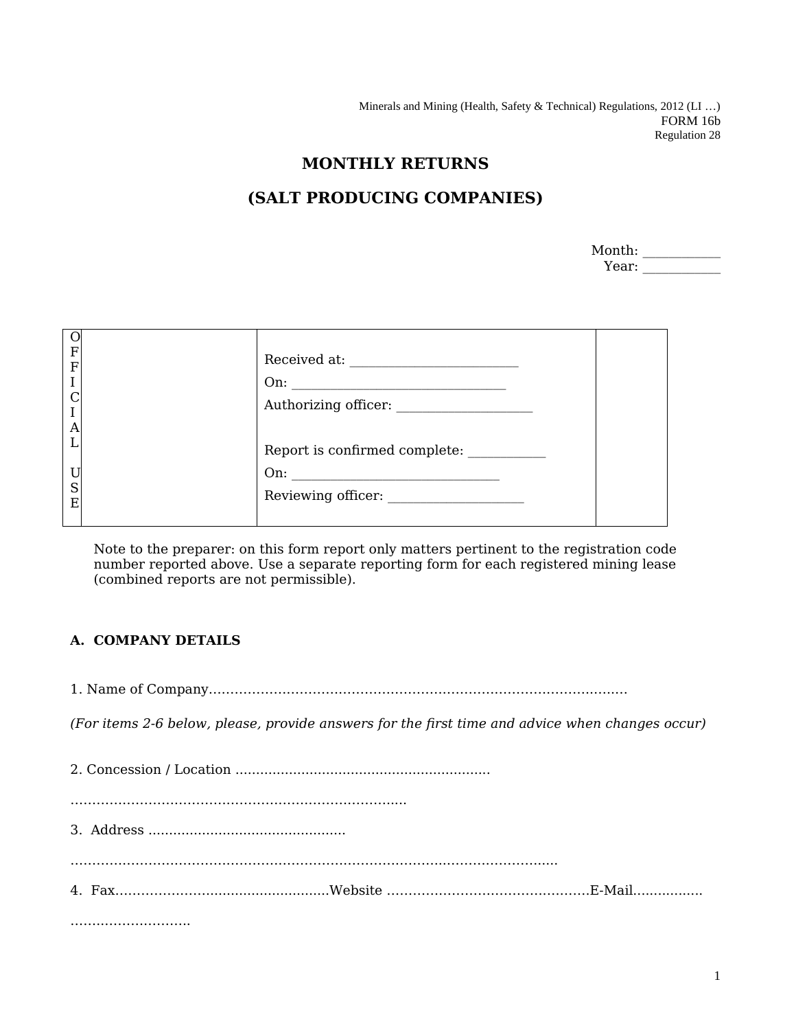Minerals and Mining (Health, Safety & Technical) Regulations, 2012 (LI …) FORM 16b Regulation 28

## **MONTHLY RETURNS**

## **(SALT PRODUCING COMPANIES)**

| Month: |  |
|--------|--|
| Year:  |  |

| $\mathbf F$<br>$\overline{F}$<br>$\rm I$<br>$\mathcal C$<br>$\overline{A}$<br>т<br>ı. | $\begin{tabular}{ll} Received at: & \underline{\hspace{1.5cm}} & \underline{\hspace{1.5cm}} & \underline{\hspace{1.5cm}} & \underline{\hspace{1.5cm}} & \underline{\hspace{1.5cm}} & \underline{\hspace{1.5cm}} & \underline{\hspace{1.5cm}} & \underline{\hspace{1.5cm}} & \underline{\hspace{1.5cm}} & \underline{\hspace{1.5cm}} & \underline{\hspace{1.5cm}} & \underline{\hspace{1.5cm}} & \underline{\hspace{1.5cm}} & \underline{\hspace{1.5cm}} & \underline{\hspace{1.5cm}} & \underline{\hspace{1.5cm}} & \underline{\hspace{1.5cm}} & \underline{\$<br>Report is confirmed complete: |
|---------------------------------------------------------------------------------------|-------------------------------------------------------------------------------------------------------------------------------------------------------------------------------------------------------------------------------------------------------------------------------------------------------------------------------------------------------------------------------------------------------------------------------------------------------------------------------------------------------------------------------------------------------------------------------------------------|
| U<br>S<br>E                                                                           |                                                                                                                                                                                                                                                                                                                                                                                                                                                                                                                                                                                                 |

Note to the preparer: on this form report only matters pertinent to the registration code number reported above. Use a separate reporting form for each registered mining lease (combined reports are not permissible).

## **A. COMPANY DETAILS**

1. Name of Company……………………………………………………………………………..…..…

*(For items 2-6 below, please, provide answers for the first time and advice when changes occur)*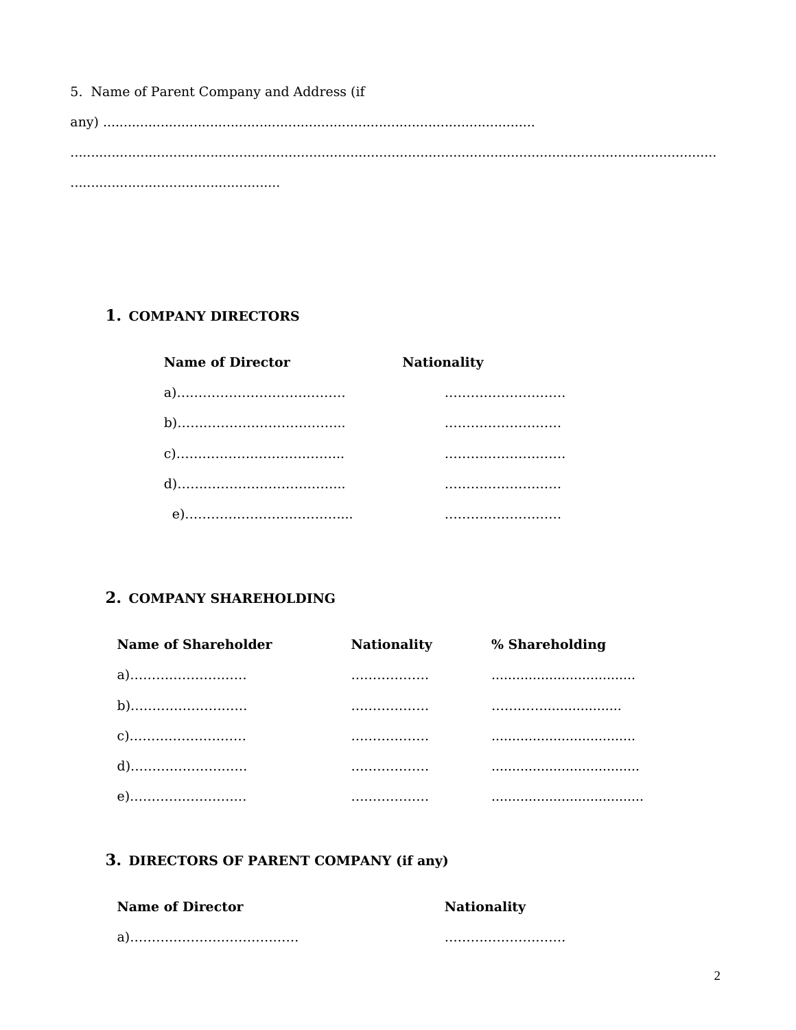5. Name of Parent Company and Address (if

## 1. COMPANY DIRECTORS

| <b>Name of Director</b> | <b>Nationality</b> |
|-------------------------|--------------------|
|                         |                    |
|                         |                    |
|                         |                    |
|                         |                    |
|                         |                    |

## 2. COMPANY SHAREHOLDING

| Name of Shareholder | <b>Nationality</b> | % Shareholding |
|---------------------|--------------------|----------------|
|                     | .                  |                |
|                     | .                  |                |
|                     | .                  |                |
|                     | .                  |                |
|                     | .                  |                |

## 3. DIRECTORS OF PARENT COMPANY (if any)

| Name of Director | <b>Nationality</b> |
|------------------|--------------------|
|                  |                    |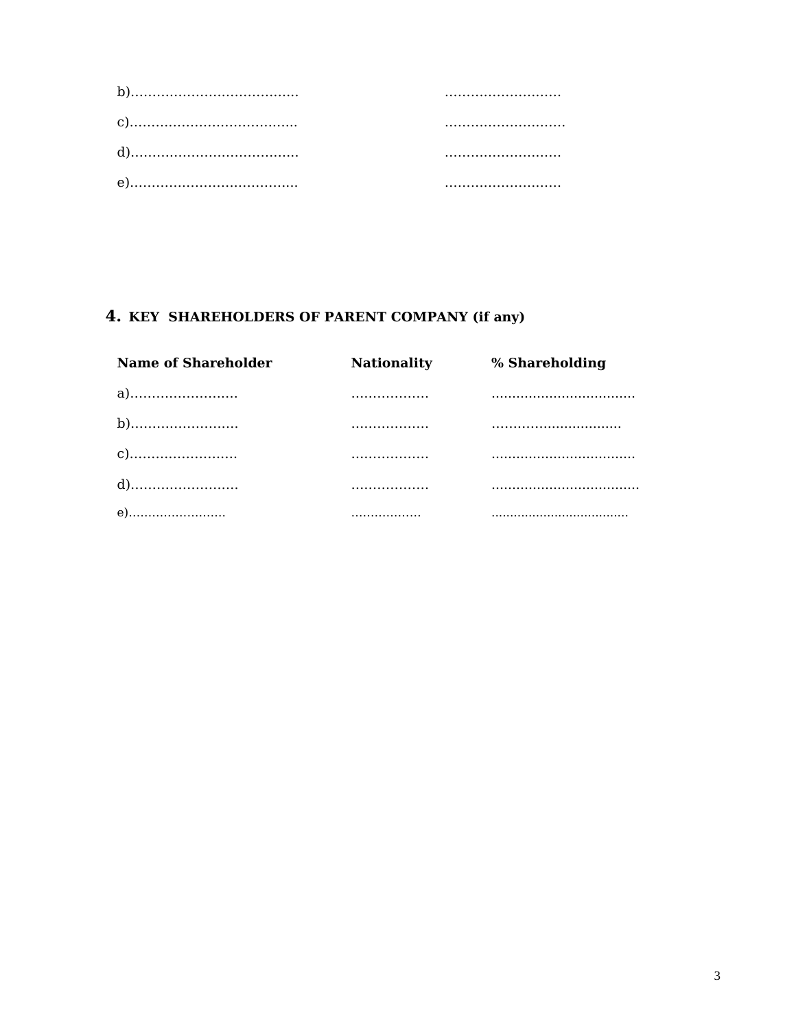# 4. KEY SHAREHOLDERS OF PARENT COMPANY (if any)

| <b>Name of Shareholder</b> | <b>Nationality</b> | % Shareholding |
|----------------------------|--------------------|----------------|
| a)                         | .                  |                |
|                            | .                  |                |
|                            | .                  |                |
|                            |                    |                |
| e)                         | .                  |                |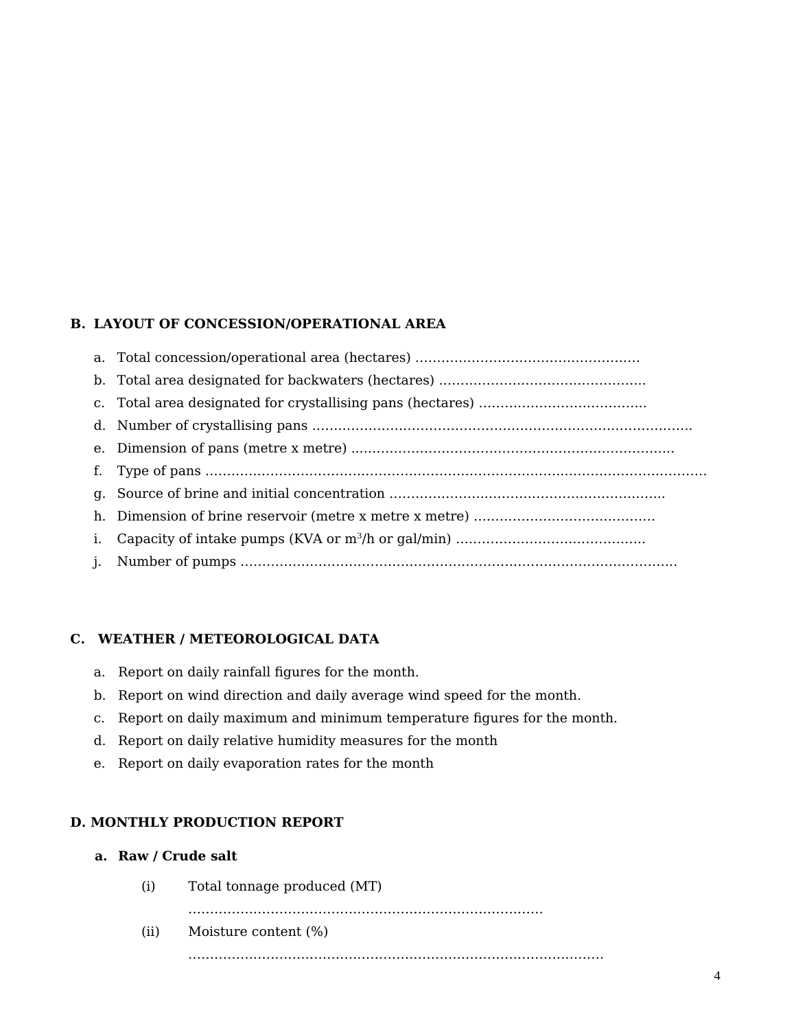## **B. LAYOUT OF CONCESSION/OPERATIONAL AREA**

### **C. WEATHER / METEOROLOGICAL DATA**

- a. Report on daily rainfall figures for the month.
- b. Report on wind direction and daily average wind speed for the month.
- c. Report on daily maximum and minimum temperature figures for the month.
- d. Report on daily relative humidity measures for the month
- e. Report on daily evaporation rates for the month

### **D. MONTHLY PRODUCTION REPORT**

- **a. Raw / Crude salt**
	- (i) Total tonnage produced (MT)

……………………………………………………………………….

- (ii) Moisture content (%)
	- ……………………………………………………………………………………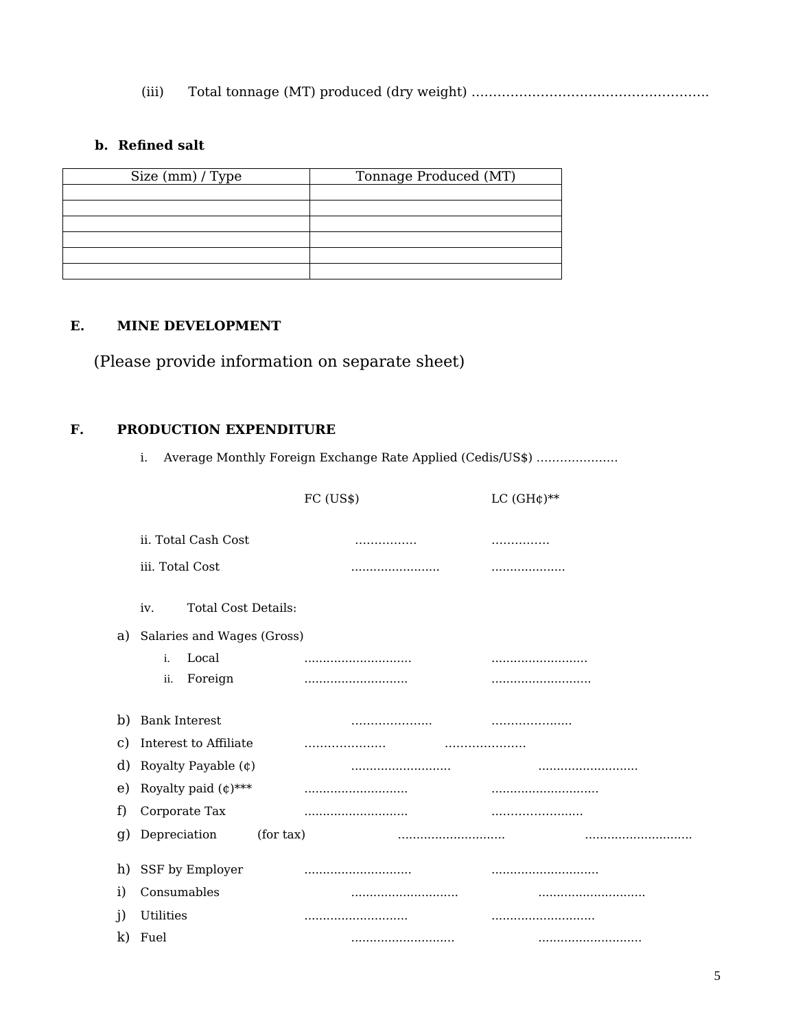(iii) Total tonnage (MT) produced (dry weight) ……………………………………………….

## **b. Refined salt**

| Size (mm) / Type | Tonnage Produced (MT) |
|------------------|-----------------------|
|                  |                       |
|                  |                       |
|                  |                       |
|                  |                       |
|                  |                       |
|                  |                       |

### **E. MINE DEVELOPMENT**

(Please provide information on separate sheet)

### **F. PRODUCTION EXPENDITURE**

i. Average Monthly Foreign Exchange Rate Applied (Cedis/US\$) …………………

|                  |                                   | FC (US\$) | LC $(GH\phi)$ ** |
|------------------|-----------------------------------|-----------|------------------|
|                  |                                   |           |                  |
|                  | ii. Total Cash Cost               | .         |                  |
|                  | iii. Total Cost                   |           | .                |
|                  | <b>Total Cost Details:</b><br>iv. |           |                  |
| a)               | Salaries and Wages (Gross)        |           |                  |
|                  | Local<br>i.                       |           |                  |
|                  | Foreign<br>ii.                    |           |                  |
| b)               | <b>Bank Interest</b>              |           |                  |
| C)               | Interest to Affiliate             |           |                  |
| d)               | Royalty Payable (¢)               |           |                  |
| e)               | Royalty paid $(\phi)$ ***         |           |                  |
| f)               | Corporate Tax                     |           |                  |
| $\mathfrak{g}$ ) | (for tax)<br>Depreciation         |           | .                |
| h)               | SSF by Employer                   |           |                  |
| i)               | Consumables                       |           |                  |
| $\mathbf{j}$     | Utilities                         |           |                  |
|                  | k) Fuel                           |           |                  |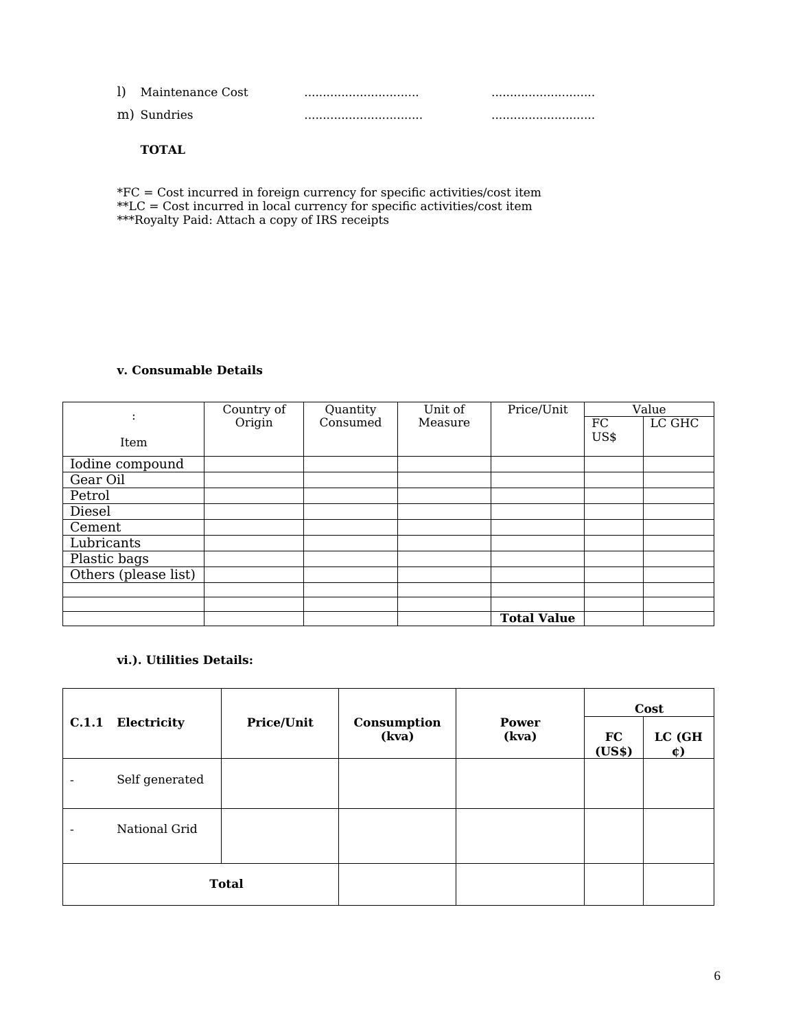| Maintenance Cost |  |
|------------------|--|
| m) Sundries      |  |

#### **TOTAL**

\*FC = Cost incurred in foreign currency for specific activities/cost item \*\*LC = Cost incurred in local currency for specific activities/cost item \*\*\*Royalty Paid: Attach a copy of IRS receipts

#### **v. Consumable Details**

|                      | Country of | Quantity | Unit of | Price/Unit         |      | Value  |
|----------------------|------------|----------|---------|--------------------|------|--------|
| $\ddot{\cdot}$       | Origin     | Consumed | Measure |                    | FC   | LC GHC |
| Item                 |            |          |         |                    | US\$ |        |
| Iodine compound      |            |          |         |                    |      |        |
| Gear Oil             |            |          |         |                    |      |        |
| Petrol               |            |          |         |                    |      |        |
| Diesel               |            |          |         |                    |      |        |
| Cement               |            |          |         |                    |      |        |
| Lubricants           |            |          |         |                    |      |        |
| Plastic bags         |            |          |         |                    |      |        |
| Others (please list) |            |          |         |                    |      |        |
|                      |            |          |         |                    |      |        |
|                      |            |          |         |                    |      |        |
|                      |            |          |         | <b>Total Value</b> |      |        |

## **vi.). Utilities Details:**

|                          |                |                   |                      |                       | Cost         |                  |  |
|--------------------------|----------------|-------------------|----------------------|-----------------------|--------------|------------------|--|
| C.1.1                    | Electricity    | <b>Price/Unit</b> | Consumption<br>(kva) | <b>Power</b><br>(kva) | FC<br>(US\$) | LC (GH<br>$\phi$ |  |
| $\overline{\phantom{0}}$ | Self generated |                   |                      |                       |              |                  |  |
| $\overline{\phantom{0}}$ | National Grid  |                   |                      |                       |              |                  |  |
|                          |                | <b>Total</b>      |                      |                       |              |                  |  |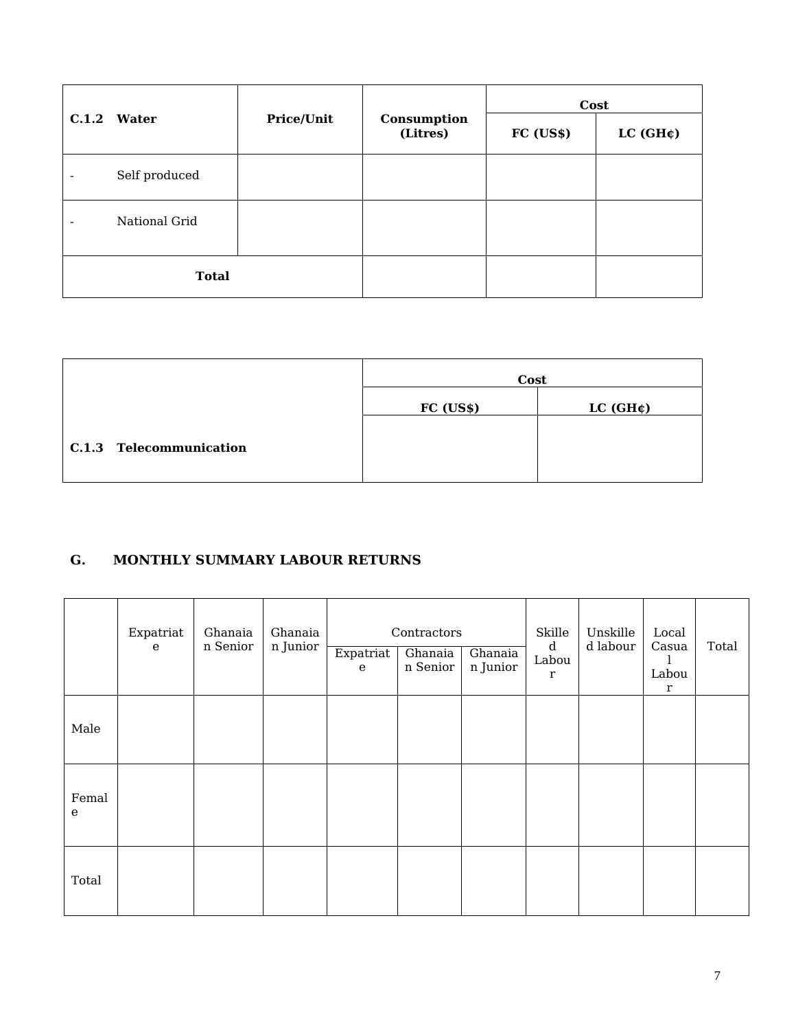| C.1.2 Water              |               |                   |                         | Cost      |                       |  |  |
|--------------------------|---------------|-------------------|-------------------------|-----------|-----------------------|--|--|
|                          |               | <b>Price/Unit</b> | Consumption<br>(Litres) | FC (US\$) | LC (GH <sub>¢</sub> ) |  |  |
| ۰                        | Self produced |                   |                         |           |                       |  |  |
| $\overline{\phantom{0}}$ | National Grid |                   |                         |           |                       |  |  |
|                          | <b>Total</b>  |                   |                         |           |                       |  |  |

|                         | Cost      |                       |
|-------------------------|-----------|-----------------------|
|                         | FC (US\$) | LC (GH <sub>¢</sub> ) |
| C.1.3 Telecommunication |           |                       |

## **G. MONTHLY SUMMARY LABOUR RETURNS**

|                      | Expatriat<br>${\bf e}$ | Ghanaia<br>n Senior | Ghanaia<br>n Junior | Expatriat   | Contractors<br>Ghanaia<br>n Senior | Ghanaia<br>$\mathbf n$ Junior | Skille<br>$\mathbf d$<br>Labou | Unskille<br>d labour | Local<br>Casua       | Total |
|----------------------|------------------------|---------------------|---------------------|-------------|------------------------------------|-------------------------------|--------------------------------|----------------------|----------------------|-------|
|                      |                        |                     |                     | $\mathbf e$ |                                    |                               | r                              |                      | Labou<br>$\mathbf r$ |       |
| Male                 |                        |                     |                     |             |                                    |                               |                                |                      |                      |       |
| Femal<br>$\mathbf e$ |                        |                     |                     |             |                                    |                               |                                |                      |                      |       |
| Total                |                        |                     |                     |             |                                    |                               |                                |                      |                      |       |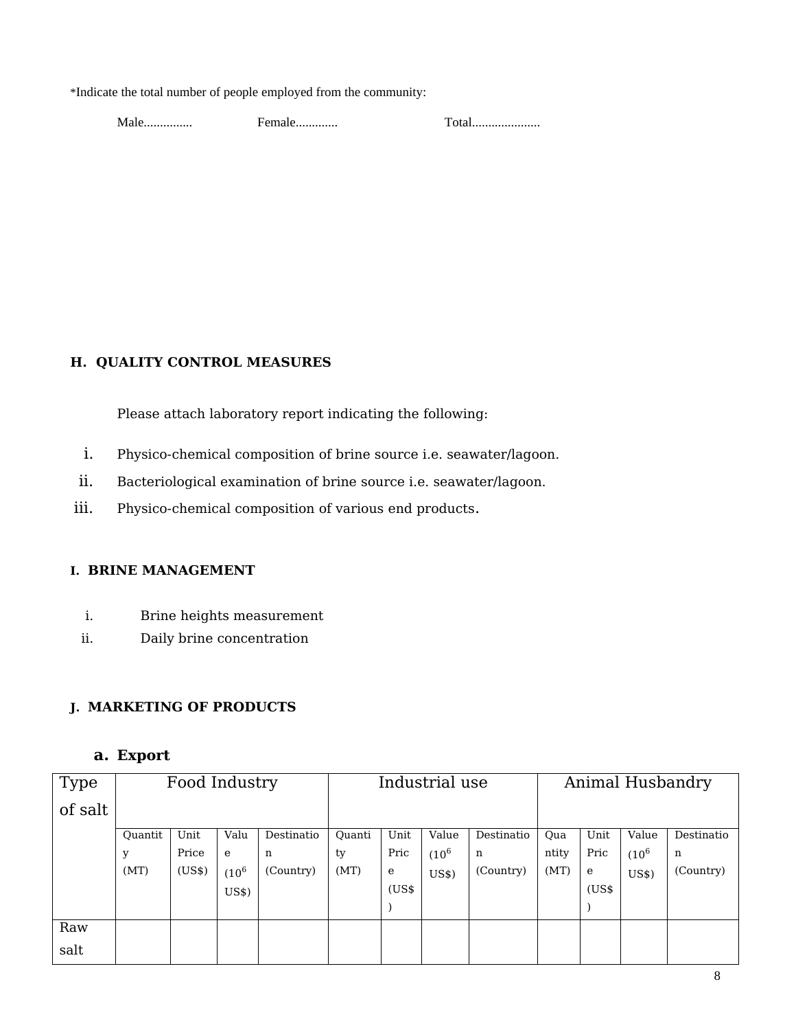\*Indicate the total number of people employed from the community:

Male............... Female............. Total.....................

## **H. QUALITY CONTROL MEASURES**

Please attach laboratory report indicating the following:

- i. Physico-chemical composition of brine source i.e. seawater/lagoon.
- ii. Bacteriological examination of brine source i.e. seawater/lagoon.
- iii. Physico-chemical composition of various end products.

### **I. BRINE MANAGEMENT**

- i. Brine heights measurement
- ii. Daily brine concentration

### **J. MARKETING OF PRODUCTS**

## **a. Export**

| <b>Type</b> | Food Industry |        |           |            | Industrial use |       |           |            |       | Animal Husbandry |          |            |  |
|-------------|---------------|--------|-----------|------------|----------------|-------|-----------|------------|-------|------------------|----------|------------|--|
| of salt     |               |        |           |            |                |       |           |            |       |                  |          |            |  |
|             | Ouantit       | Unit   | Valu      | Destinatio | Ouanti         | Unit  | Value     | Destinatio | Qua   | Unit             | Value    | Destinatio |  |
|             | y             | Price  | e         | n          | ty             | Pric  | $(10^{6}$ | n          | ntity | Pric             | $(10^6)$ | n          |  |
|             | (MT)          | (US\$) | $(10^{6}$ | (Country)  | (MT)           | e     | US\$)     | (Country)  | (MT)  | e                | US\$)    | (Country)  |  |
|             |               |        | US\$      |            |                | (US\$ |           |            |       | (US\$            |          |            |  |
|             |               |        |           |            |                |       |           |            |       |                  |          |            |  |
| Raw         |               |        |           |            |                |       |           |            |       |                  |          |            |  |
| salt        |               |        |           |            |                |       |           |            |       |                  |          |            |  |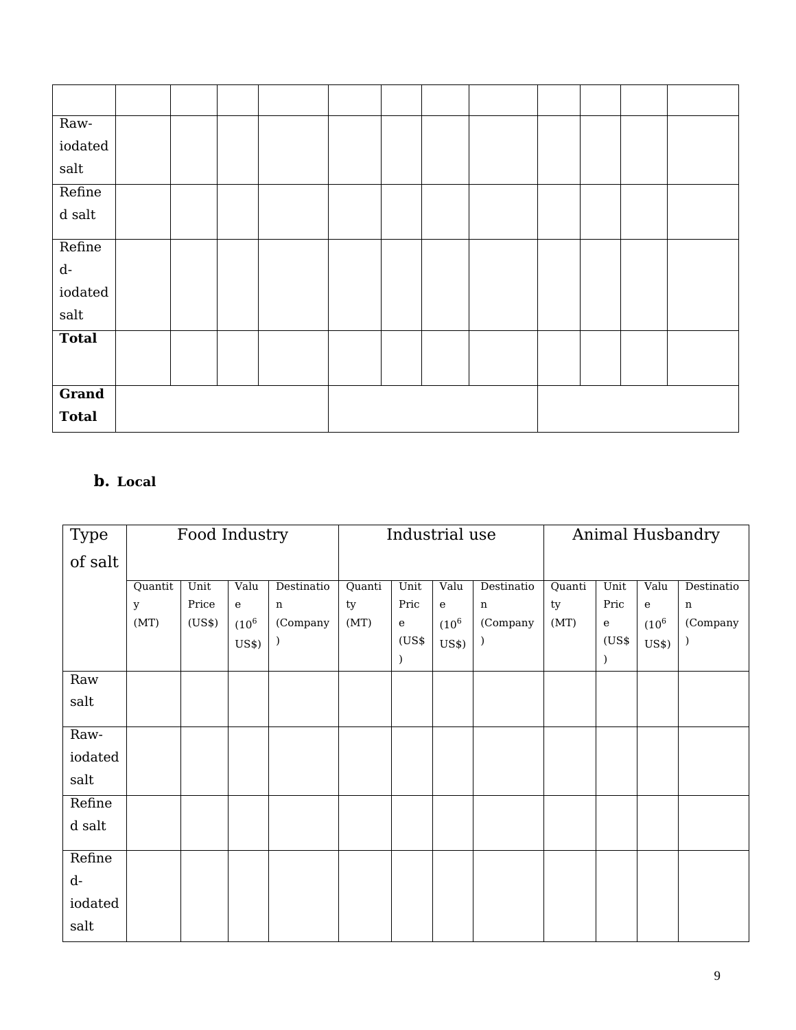| Raw-                         |  |  |  |  |  |  |
|------------------------------|--|--|--|--|--|--|
| iodated                      |  |  |  |  |  |  |
| $\mathop{\rm salt}\nolimits$ |  |  |  |  |  |  |
| Refine                       |  |  |  |  |  |  |
| $\,$ d salt                  |  |  |  |  |  |  |
|                              |  |  |  |  |  |  |
| Refine                       |  |  |  |  |  |  |
| $\mathbf{d}\text{-}$         |  |  |  |  |  |  |
| $\rm{iodated}$               |  |  |  |  |  |  |
| salt                         |  |  |  |  |  |  |
|                              |  |  |  |  |  |  |
| <b>Total</b>                 |  |  |  |  |  |  |
|                              |  |  |  |  |  |  |
|                              |  |  |  |  |  |  |
| Grand                        |  |  |  |  |  |  |
| <b>Total</b>                 |  |  |  |  |  |  |

# **b. Local**

| <b>Type</b> | Food Industry |        |              | Industrial use |        |           |           | Animal Husbandry |        |           |          |             |
|-------------|---------------|--------|--------------|----------------|--------|-----------|-----------|------------------|--------|-----------|----------|-------------|
| of salt     |               |        |              |                |        |           |           |                  |        |           |          |             |
|             | Quantit       | Unit   | Valu         | Destinatio     | Quanti | Unit      | Valu      | Destinatio       | Quanti | Unit      | Valu     | Destinatio  |
|             | $\mathbf{y}$  | Price  | $\mathbf{e}$ | $\mathbf n$    | ty     | Pric      | ${\bf e}$ | $\mathbf n$      | ty     | Pric      | e        | $\mathbf n$ |
|             | (MT)          | (US\$) | $(10^6)$     | (Company       | (MT)   | ${\bf e}$ | $(10^{6}$ | (Company         | (MT)   | ${\bf e}$ | $(10^6)$ | (Company    |
|             |               |        | US\$)        |                |        | (US\$     | US\$)     |                  |        | (US\$     | US\$)    |             |
|             |               |        |              |                |        |           |           |                  |        |           |          |             |
| Raw         |               |        |              |                |        |           |           |                  |        |           |          |             |
| salt        |               |        |              |                |        |           |           |                  |        |           |          |             |
|             |               |        |              |                |        |           |           |                  |        |           |          |             |
| Raw-        |               |        |              |                |        |           |           |                  |        |           |          |             |
| iodated     |               |        |              |                |        |           |           |                  |        |           |          |             |
| salt        |               |        |              |                |        |           |           |                  |        |           |          |             |
| Refine      |               |        |              |                |        |           |           |                  |        |           |          |             |
| d salt      |               |        |              |                |        |           |           |                  |        |           |          |             |
|             |               |        |              |                |        |           |           |                  |        |           |          |             |
| Refine      |               |        |              |                |        |           |           |                  |        |           |          |             |
| $d-$        |               |        |              |                |        |           |           |                  |        |           |          |             |
| iodated     |               |        |              |                |        |           |           |                  |        |           |          |             |
| salt        |               |        |              |                |        |           |           |                  |        |           |          |             |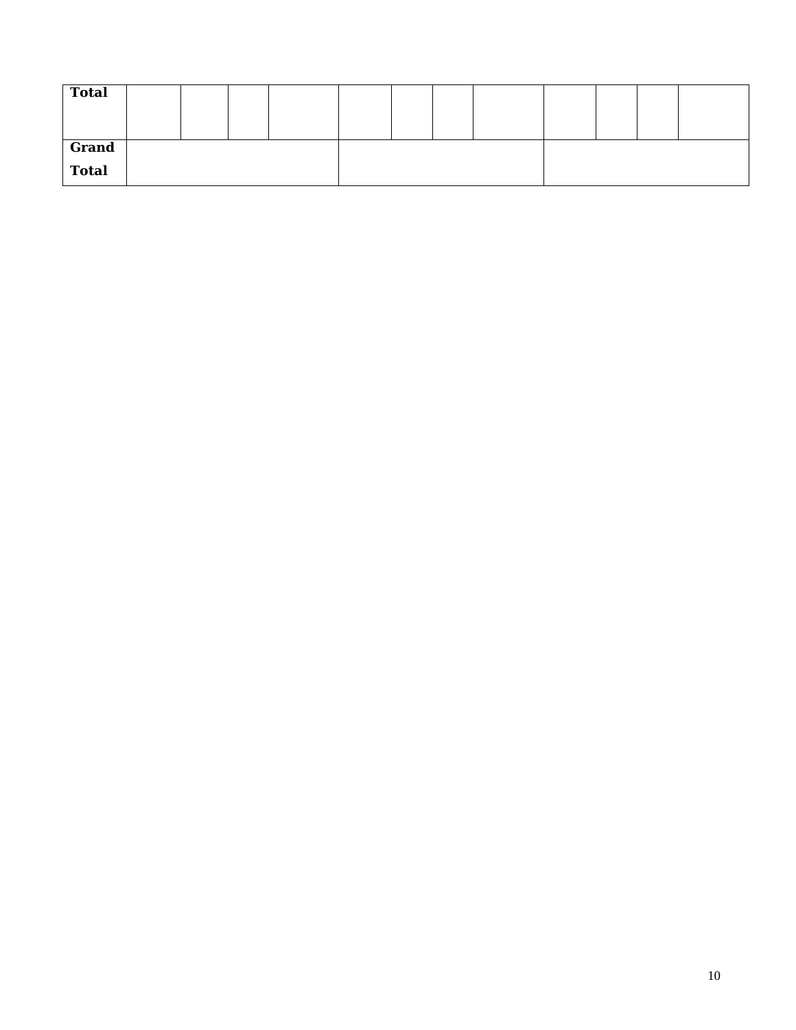| <b>Total</b> |  |  |  |  |  |  |
|--------------|--|--|--|--|--|--|
| Grand        |  |  |  |  |  |  |
| Total        |  |  |  |  |  |  |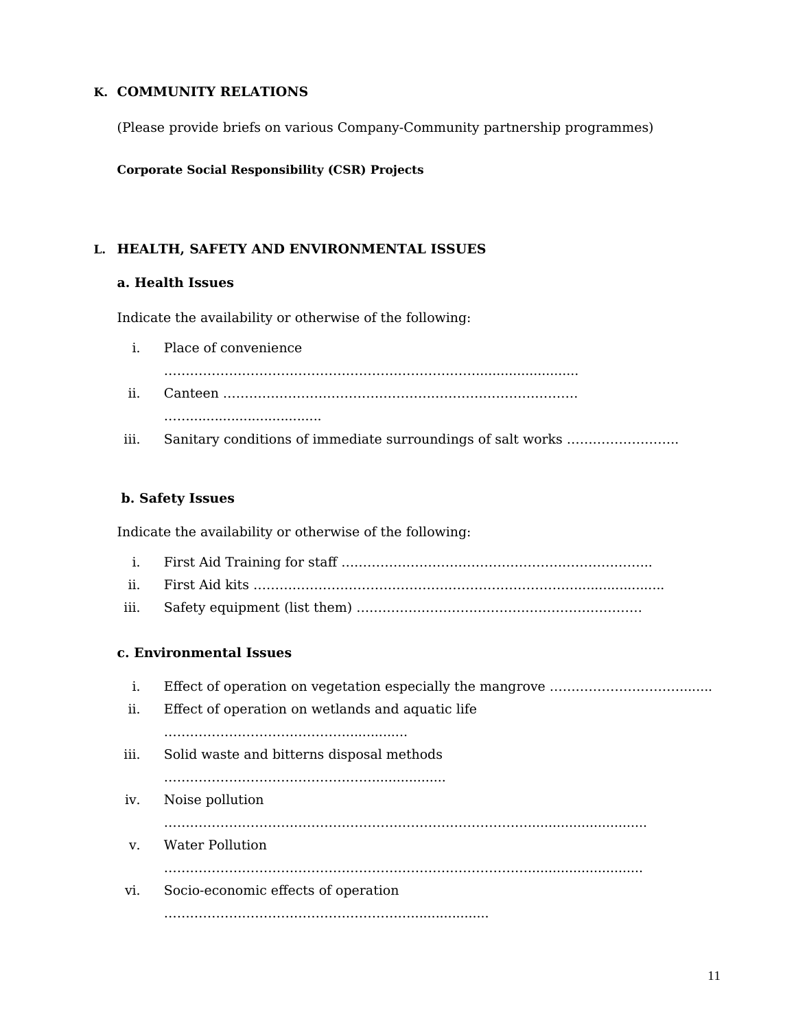#### **K. COMMUNITY RELATIONS**

(Please provide briefs on various Company-Community partnership programmes)

#### **Corporate Social Responsibility (CSR) Projects**

### **L. HEALTH, SAFETY AND ENVIRONMENTAL ISSUES**

#### **a. Health Issues**

Indicate the availability or otherwise of the following:

- i. Place of convenience
- ………………………………………………………………......................... ii. Canteen ………………………………………………………………………. …………………………………………
- iii. Sanitary conditions of immediate surroundings of salt works ……………………..

### **b. Safety Issues**

Indicate the availability or otherwise of the following:

- i. First Aid Training for staff ……………………………………………………………...
- ii. First Aid kits ………………………………………………………………….....................
- iii. Safety equipment (list them) …………………………………………………………

### **c. Environmental Issues**

i. Effect of operation on vegetation especially the mangrove …………………………........ ii. Effect of operation on wetlands and aquatic life ………………………………………………………… iii. Solid waste and bitterns disposal methods ………………………………………….................. iv. Noise pollution …………………………………………………………………………............................. v. Water Pollution …………………………………………………………………………............................ vi. Socio-economic effects of operation …………………………………………………...................